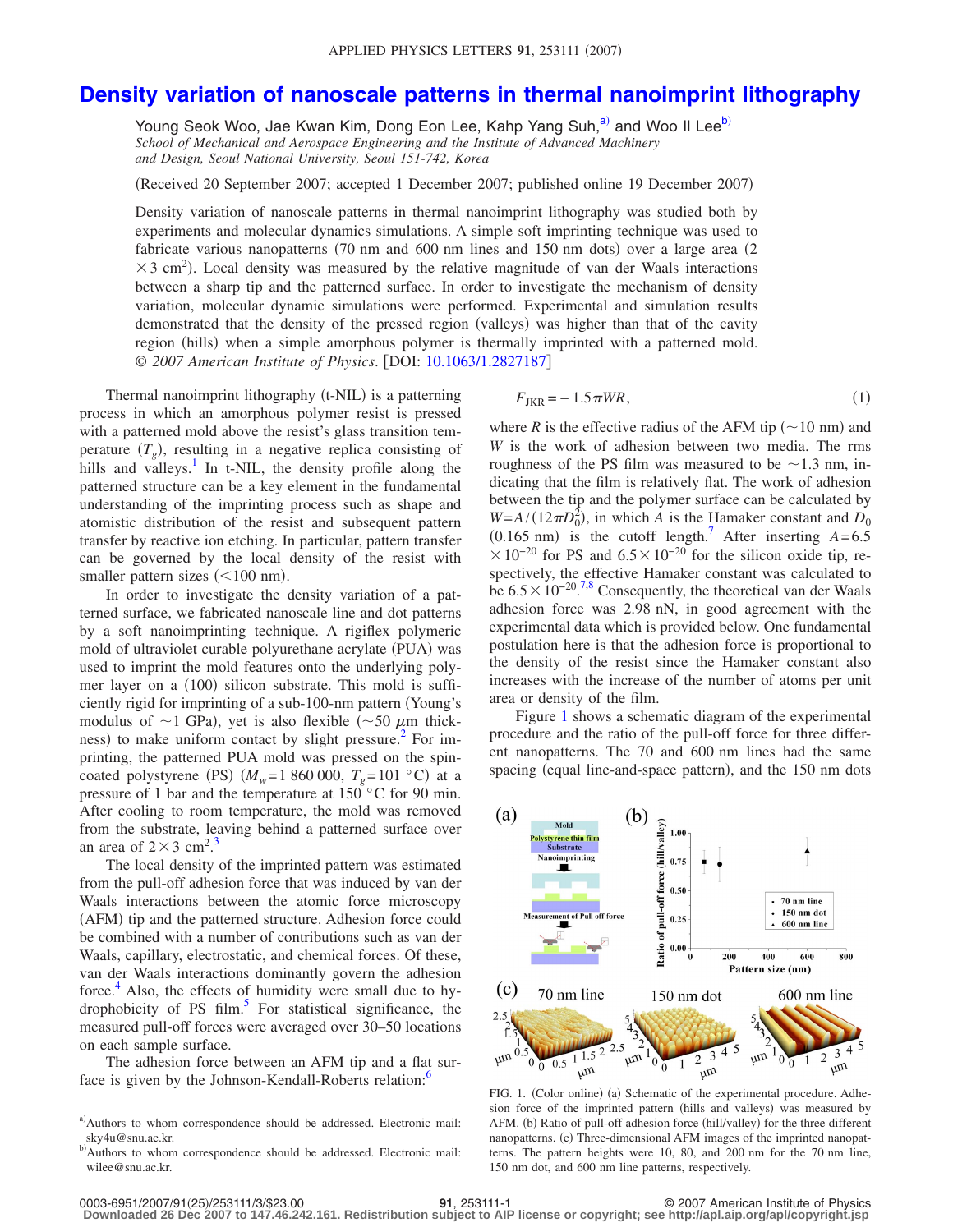## **[Density variation of nanoscale patterns in thermal nanoimprint lithography](http://dx.doi.org/10.1063/1.2827187)**

Young Seok Woo, Jae Kwan Kim, Dong Eon Lee, Kahp Yang Suh,<sup>a)</sup> and Woo II Lee<sup>b)</sup> *School of Mechanical and Aerospace Engineering and the Institute of Advanced Machinery and Design, Seoul National University, Seoul 151-742, Korea*

Received 20 September 2007; accepted 1 December 2007; published online 19 December 2007-

Density variation of nanoscale patterns in thermal nanoimprint lithography was studied both by experiments and molecular dynamics simulations. A simple soft imprinting technique was used to fabricate various nanopatterns (70 nm and 600 nm lines and 150 nm dots) over a large area (2  $\times$  3 cm<sup>2</sup>). Local density was measured by the relative magnitude of van der Waals interactions between a sharp tip and the patterned surface. In order to investigate the mechanism of density variation, molecular dynamic simulations were performed. Experimental and simulation results demonstrated that the density of the pressed region (valleys) was higher than that of the cavity region (hills) when a simple amorphous polymer is thermally imprinted with a patterned mold. © 2007 American Institute of Physics. [DOI: [10.1063/1.2827187](http://dx.doi.org/10.1063/1.2827187)]

Thermal nanoimprint lithography (t-NIL) is a patterning process in which an amorphous polymer resist is pressed with a patterned mold above the resist's glass transition temperature  $(T_g)$ , resulting in a negative replica consisting of hills and valleys.<sup>1</sup> In t-NIL, the density profile along the patterned structure can be a key element in the fundamental understanding of the imprinting process such as shape and atomistic distribution of the resist and subsequent pattern transfer by reactive ion etching. In particular, pattern transfer can be governed by the local density of the resist with smaller pattern sizes  $(<100$  nm).

In order to investigate the density variation of a patterned surface, we fabricated nanoscale line and dot patterns by a soft nanoimprinting technique. A rigiflex polymeric mold of ultraviolet curable polyurethane acrylate (PUA) was used to imprint the mold features onto the underlying polymer layer on a (100) silicon substrate. This mold is sufficiently rigid for imprinting of a sub-100-nm pattern Young's modulus of  $\sim$ 1 GPa), yet is also flexible ( $\sim$ 50  $\mu$ m thickness) to make uniform contact by slight pressure.<sup>2</sup> For imprinting, the patterned PUA mold was pressed on the spincoated polystyrene (PS)  $(M_w=1\ 860\ 000, T_g=101 \degree C)$  at a pressure of 1 bar and the temperature at 150 °C for 90 min. After cooling to room temperature, the mold was removed from the substrate, leaving behind a patterned surface over an area of  $2 \times 3$  $2 \times 3$  cm<sup>2</sup>.<sup>3</sup>

The local density of the imprinted pattern was estimated from the pull-off adhesion force that was induced by van der Waals interactions between the atomic force microscopy (AFM) tip and the patterned structure. Adhesion force could be combined with a number of contributions such as van der Waals, capillary, electrostatic, and chemical forces. Of these, van der Waals interactions dominantly govern the adhesion force. $4$  Also, the effects of humidity were small due to hydrophobicity of PS film. $5$  For statistical significance, the measured pull-off forces were averaged over 30–50 locations on each sample surface.

<span id="page-0-0"></span>The adhesion force between an AFM tip and a flat surface is given by the Johnson-Kendall-Roberts relation:<sup>6</sup>

<span id="page-0-3"></span>
$$
F_{\text{JKR}} = -1.5\pi WR,\tag{1}
$$

where *R* is the effective radius of the AFM tip  $(\sim 10 \text{ nm})$  and *W* is the work of adhesion between two media. The rms roughness of the PS film was measured to be  $\sim$ 1.3 nm, indicating that the film is relatively flat. The work of adhesion between the tip and the polymer surface can be calculated by  $W = A/(12\pi D_0^2)$ , in which *A* is the Hamaker constant and  $D_0$  $(0.165 \text{ nm})$  is the cutoff length.<sup>7</sup> After inserting  $A=6.5$  $\times$ 10<sup>-20</sup> for PS and 6.5 $\times$ 10<sup>-20</sup> for the silicon oxide tip, respectively, the effective Hamaker constant was calculated to be  $6.5 \times 10^{-20}$ .<sup>[7](#page-2-6)[,8](#page-2-7)</sup> Consequently, the theoretical van der Waals adhesion force was 2.98 nN, in good agreement with the experimental data which is provided below. One fundamental postulation here is that the adhesion force is proportional to the density of the resist since the Hamaker constant also increases with the increase of the number of atoms per unit area or density of the film.

Figure [1](#page-0-2) shows a schematic diagram of the experimental procedure and the ratio of the pull-off force for three different nanopatterns. The 70 and 600 nm lines had the same spacing (equal line-and-space pattern), and the 150 nm dots

<span id="page-0-2"></span>

FIG. 1. (Color online) (a) Schematic of the experimental procedure. Adhesion force of the imprinted pattern (hills and valleys) was measured by AFM. (b) Ratio of pull-off adhesion force (hill/valley) for the three different nanopatterns. (c) Three-dimensional AFM images of the imprinted nanopatterns. The pattern heights were 10, 80, and 200 nm for the 70 nm line, 150 nm dot, and 600 nm line patterns, respectively.

<span id="page-0-1"></span>a) Authors to whom correspondence should be addressed. Electronic mail: sky4u@snu.ac.kr.

b) Authors to whom correspondence should be addressed. Electronic mail: wilee@snu.ac.kr.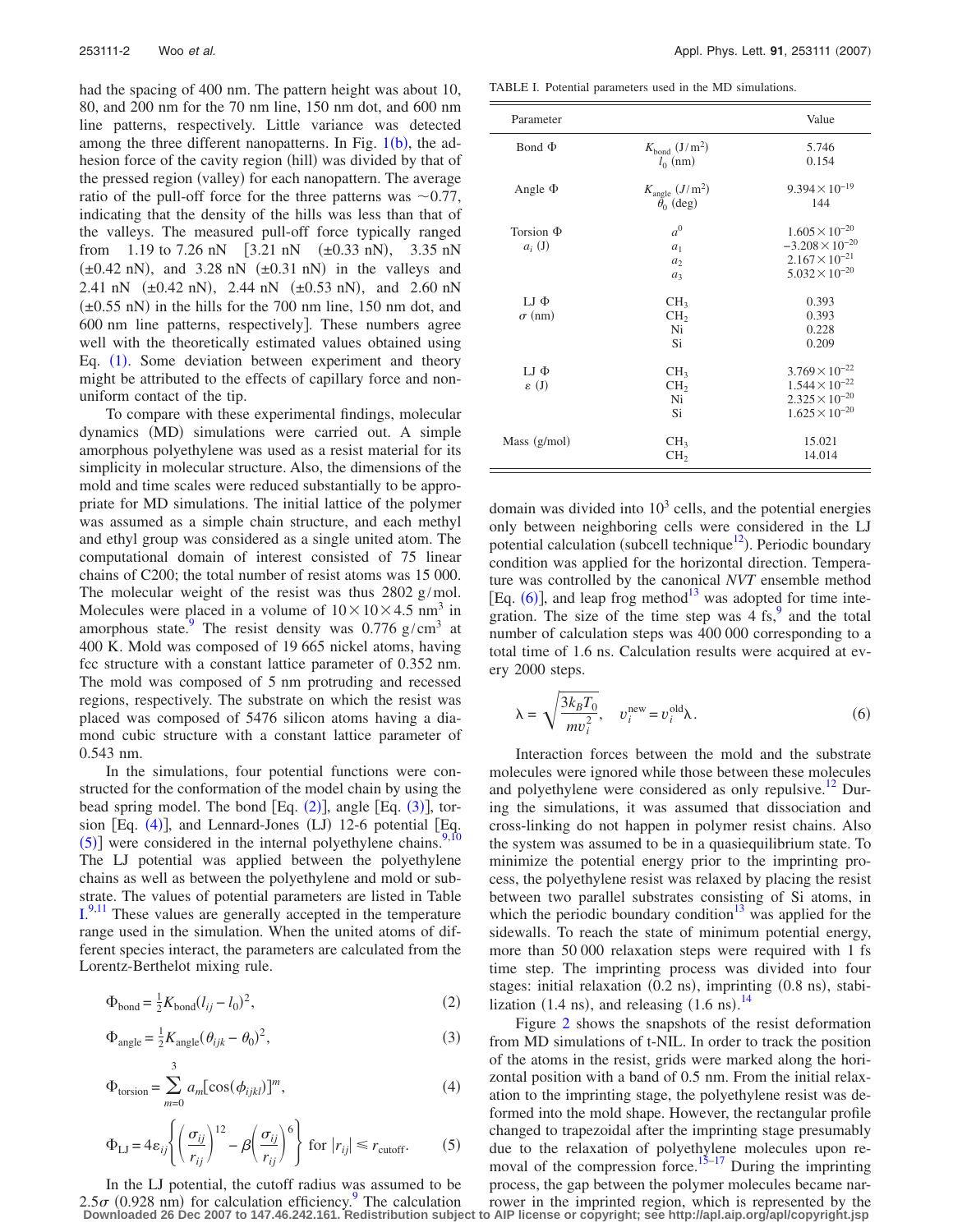had the spacing of 400 nm. The pattern height was about 10, 80, and 200 nm for the 70 nm line, 150 nm dot, and 600 nm line patterns, respectively. Little variance was detected among the three different nanopatterns. In Fig.  $1(b)$  $1(b)$  $1(b)$ , the adhesion force of the cavity region (hill) was divided by that of the pressed region (valley) for each nanopattern. The average ratio of the pull-off force for the three patterns was  $\sim 0.77$ , indicating that the density of the hills was less than that of the valleys. The measured pull-off force typically ranged from 1.19 to 7.26 nN  $[3.21 \text{ nN} \quad (\pm 0.33 \text{ nN}),$  3.35 nN  $(\pm 0.42 \text{ nN})$ , and 3.28 nN  $(\pm 0.31 \text{ nN})$  in the valleys and 2.41 nN  $(\pm 0.42 \text{ nN})$ , 2.44 nN  $(\pm 0.53 \text{ nN})$ , and 2.60 nN  $(\pm 0.55 \text{ nN})$  in the hills for the 700 nm line, 150 nm dot, and 600 nm line patterns, respectively. These numbers agree well with the theoretically estimated values obtained using Eq. ([1](#page-0-3)). Some deviation between experiment and theory might be attributed to the effects of capillary force and nonuniform contact of the tip.

To compare with these experimental findings, molecular dynamics (MD) simulations were carried out. A simple amorphous polyethylene was used as a resist material for its simplicity in molecular structure. Also, the dimensions of the mold and time scales were reduced substantially to be appropriate for MD simulations. The initial lattice of the polymer was assumed as a simple chain structure, and each methyl and ethyl group was considered as a single united atom. The computational domain of interest consisted of 75 linear chains of C200; the total number of resist atoms was 15 000. The molecular weight of the resist was thus 2802 g/mol. Molecules were placed in a volume of  $10\times10\times4.5$  nm<sup>3</sup> in amorphous state.<sup>9</sup> The resist density was  $0.776$  g/cm<sup>3</sup> at 400 K. Mold was composed of 19 665 nickel atoms, having fcc structure with a constant lattice parameter of 0.352 nm. The mold was composed of 5 nm protruding and recessed regions, respectively. The substrate on which the resist was placed was composed of 5476 silicon atoms having a diamond cubic structure with a constant lattice parameter of 0.543 nm.

In the simulations, four potential functions were constructed for the conformation of the model chain by using the bead spring model. The bond  $[Eq. (2)]$  $[Eq. (2)]$  $[Eq. (2)]$ , angle  $[Eq. (3)]$  $[Eq. (3)]$  $[Eq. (3)]$ , tor-sion [Eq. ([4](#page-1-2))], and Lennard-Jones (LJ) 12-6 potential [Eq.  $(5)$  $(5)$  $(5)$ ] were considered in the internal polyethylene chains.<sup>9,[10](#page-2-9)</sup> The LJ potential was applied between the polyethylene chains as well as between the polyethylene and mold or substrate. The values of potential parameters are listed in Table  $I^{9,11}$  $I^{9,11}$  $I^{9,11}$  $I^{9,11}$ . These values are generally accepted in the temperature range used in the simulation. When the united atoms of different species interact, the parameters are calculated from the Lorentz-Berthelot mixing rule.

<span id="page-1-1"></span><span id="page-1-0"></span>
$$
\Phi_{\text{bond}} = \frac{1}{2} K_{\text{bond}} (l_{ij} - l_0)^2, \tag{2}
$$

<span id="page-1-2"></span>
$$
\Phi_{\text{angle}} = \frac{1}{2} K_{\text{angle}} (\theta_{ijk} - \theta_0)^2, \tag{3}
$$

<span id="page-1-3"></span>
$$
\Phi_{\text{torsion}} = \sum_{m=0}^{3} a_m [\cos(\phi_{ijkl})]^m,
$$
\n(4)

$$
\Phi_{\text{LJ}} = 4\varepsilon_{ij} \left\{ \left( \frac{\sigma_{ij}}{r_{ij}} \right)^{12} - \beta \left( \frac{\sigma_{ij}}{r_{ij}} \right)^6 \right\} \text{ for } |r_{ij}| \le r_{\text{cutoff}}.\tag{5}
$$

In the LJ potential, the cutoff radius was assumed to be

<span id="page-1-4"></span>TABLE I. Potential parameters used in the MD simulations.

| Parameter                      |                                                             | Value                                                                                                     |
|--------------------------------|-------------------------------------------------------------|-----------------------------------------------------------------------------------------------------------|
| Bond $\Phi$                    | $K_{\text{bond}}$ (J/m <sup>2</sup> )<br>$l_0$ (nm)         | 5.746<br>0.154                                                                                            |
| Angle $\Phi$                   | $K_{\text{angle}}(J/\text{m}^2)$<br>$\bar{\theta_0}$ (deg)  | $9.394 \times 10^{-19}$<br>144                                                                            |
| Torsion $\Phi$<br>$a_i$ (J)    | a <sup>0</sup><br>a <sub>1</sub><br>a <sub>2</sub><br>$a_3$ | $1.605 \times 10^{-20}$<br>$-3.208 \times 10^{-20}$<br>$2.167 \times 10^{-21}$<br>$5.032 \times 10^{-20}$ |
| $LI \Phi$<br>$\sigma$ (nm)     | CH <sub>3</sub><br>CH <sub>2</sub><br>Ni<br>Si              | 0.393<br>0.393<br>0.228<br>0.209                                                                          |
| $LI \Phi$<br>$\varepsilon$ (J) | CH <sub>3</sub><br>CH <sub>2</sub><br>Ni<br>Si              | $3.769 \times 10^{-22}$<br>$1.544 \times 10^{-22}$<br>$2.325 \times 10^{-20}$<br>$1.625 \times 10^{-20}$  |
| Mass $(g/mol)$                 | CH <sub>3</sub><br>CH <sub>2</sub>                          | 15.021<br>14.014                                                                                          |

domain was divided into  $10<sup>3</sup>$  cells, and the potential energies only between neighboring cells were considered in the LJ potential calculation (subcell technique<sup>12</sup>). Periodic boundary condition was applied for the horizontal direction. Temperature was controlled by the canonical *NVT* ensemble method [Eq.  $(6)$  $(6)$  $(6)$ ], and leap frog method<sup>13</sup> was adopted for time integration. The size of the time step was  $4 \text{ fs}^9$  and the total number of calculation steps was 400 000 corresponding to a total time of 1.6 ns. Calculation results were acquired at every 2000 steps.

<span id="page-1-5"></span>
$$
\lambda = \sqrt{\frac{3k_B T_0}{mv_i^2}}, \quad v_i^{\text{new}} = v_i^{\text{old}} \lambda. \tag{6}
$$

Interaction forces between the mold and the substrate molecules were ignored while those between these molecules and polyethylene were considered as only repulsive.<sup>12</sup> During the simulations, it was assumed that dissociation and cross-linking do not happen in polymer resist chains. Also the system was assumed to be in a quasiequilibrium state. To minimize the potential energy prior to the imprinting process, the polyethylene resist was relaxed by placing the resist between two parallel substrates consisting of Si atoms, in which the periodic boundary condition<sup>13</sup> was applied for the sidewalls. To reach the state of minimum potential energy, more than 50 000 relaxation steps were required with 1 fs time step. The imprinting process was divided into four stages: initial relaxation (0.2 ns), imprinting (0.8 ns), stabilization  $(1.4 \text{ ns})$ , and releasing  $(1.6 \text{ ns})$ .<sup>[14](#page-2-13)</sup>

Figure [2](#page-2-14) shows the snapshots of the resist deformation from MD simulations of t-NIL. In order to track the position of the atoms in the resist, grids were marked along the horizontal position with a band of 0.5 nm. From the initial relaxation to the imprinting stage, the polyethylene resist was deformed into the mold shape. However, the rectangular profile changed to trapezoidal after the imprinting stage presumably due to the relaxation of polyethylene molecules upon re-moval of the compression force.<sup>15[–17](#page-2-16)</sup> During the imprinting process, the gap between the polymer molecules became nar-

 $2.5\sigma$  (0[.9](#page-2-8)28 nm) for calculation efficiency. The calculation rower in the imprinted region, which is represented by the Downloaded 26 Dec 2007 to 147.46.242.161. Redistribution subject to AlP license or copyright; see h